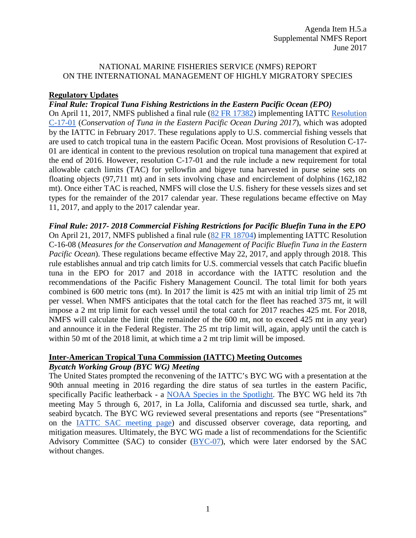### NATIONAL MARINE FISHERIES SERVICE (NMFS) REPORT ON THE INTERNATIONAL MANAGEMENT OF HIGHLY MIGRATORY SPECIES

# **Regulatory Updates**

# *Final Rule: Tropical Tuna Fishing Restrictions in the Eastern Pacific Ocean (EPO)*

On April 11, 2017, NMFS published a final rule [\(82 FR 17382\)](https://www.federalregister.gov/d/2017-07251) implementing IATTC [Resolution](https://www.iattc.org/PDFFiles2/Resolutions/C-17-01-Tuna-conservation-2017.pdf)  [C-17-01](https://www.iattc.org/PDFFiles2/Resolutions/C-17-01-Tuna-conservation-2017.pdf) (*Conservation of Tuna in the Eastern Pacific Ocean During 2017*), which was adopted by the IATTC in February 2017. These regulations apply to U.S. commercial fishing vessels that are used to catch tropical tuna in the eastern Pacific Ocean. Most provisions of Resolution C-17- 01 are identical in content to the previous resolution on tropical tuna management that expired at the end of 2016. However, resolution C-17-01 and the rule include a new requirement for total allowable catch limits (TAC) for yellowfin and bigeye tuna harvested in purse seine sets on floating objects (97,711 mt) and in sets involving chase and encirclement of dolphins (162,182 mt). Once either TAC is reached, NMFS will close the U.S. fishery for these vessels sizes and set types for the remainder of the 2017 calendar year. These regulations became effective on May 11, 2017, and apply to the 2017 calendar year.

*Final Rule: 2017- 2018 Commercial Fishing Restrictions for Pacific Bluefin Tuna in the EPO* On April 21, 2017, NMFS published a final rule [\(82 FR 18704\)](http://www.westcoast.fisheries.noaa.gov/publications/frn/2017/82fr18704.pdf) implementing IATTC Resolution C-16-08 (*Measures for the Conservation and Management of Pacific Bluefin Tuna in the Eastern Pacific Ocean*). These regulations became effective May 22, 2017, and apply through 2018. This rule establishes annual and trip catch limits for U.S. commercial vessels that catch Pacific bluefin tuna in the EPO for 2017 and 2018 in accordance with the IATTC resolution and the recommendations of the Pacific Fishery Management Council. The total limit for both years combined is 600 metric tons (mt). In 2017 the limit is 425 mt with an initial trip limit of 25 mt per vessel. When NMFS anticipates that the total catch for the fleet has reached 375 mt, it will impose a 2 mt trip limit for each vessel until the total catch for 2017 reaches 425 mt. For 2018, NMFS will calculate the limit (the remainder of the 600 mt, not to exceed 425 mt in any year) and announce it in the Federal Register. The 25 mt trip limit will, again, apply until the catch is within 50 mt of the 2018 limit, at which time a 2 mt trip limit will be imposed.

#### **Inter-American Tropical Tuna Commission (IATTC) Meeting Outcomes** *Bycatch Working Group (BYC WG) Meeting*

The United States prompted the reconvening of the IATTC's BYC WG with a presentation at the 90th annual meeting in 2016 regarding the dire status of sea turtles in the eastern Pacific, specifically Pacific leatherback - a [NOAA Species in the Spotlight.](http://www.nmfs.noaa.gov/stories/2015/06/spotlight_pac_leatherback.html) The BYC WG held its 7th meeting May 5 through 6, 2017, in La Jolla, California and discussed sea turtle, shark, and seabird bycatch. The BYC WG reviewed several presentations and reports (see "Presentations" on the [IATTC SAC meeting page\)](https://www.iattc.org/Meetings/Meetings2017/SAC08/8thMeetingScientificAdvisoryCommitteeENG.htm) and discussed observer coverage, data reporting, and mitigation measures. Ultimately, the BYC WG made a list of recommendations for the Scientific Advisory Committee (SAC) to consider [\(BYC-07\)](https://www.iattc.org/Meetings/Meetings2017/SAC08/PDFs/BYC-07-May-2017-Recommendations.pdf), which were later endorsed by the SAC without changes.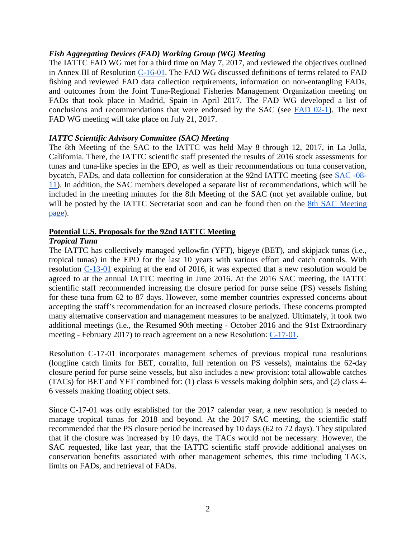## *Fish Aggregating Devices (FAD) Working Group (WG) Meeting*

The IATTC FAD WG met for a third time on May 7, 2017, and reviewed the objectives outlined in Annex III of Resolution [C-16-01.](https://www.iattc.org/PDFFiles2/Resolutions/C-16-01-FADs-Amendment-C-15-03.pdf) The FAD WG discussed definitions of terms related to FAD fishing and reviewed FAD data collection requirements, information on non-entangling FADs, and outcomes from the Joint Tuna-Regional Fisheries Management Organization meeting on FADs that took place in Madrid, Spain in April 2017. The FAD WG developed a list of conclusions and recommendations that were endorsed by the SAC (see [FAD 02-1\)](https://www.iattc.org/Meetings/Meetings2017/SAC08/PDFs/FAD-02-May-2017-Summary-report.pdf). The next FAD WG meeting will take place on July 21, 2017.

## *IATTC Scientific Advisory Committee (SAC) Meeting*

The 8th Meeting of the SAC to the IATTC was held May 8 through 12, 2017, in La Jolla, California. There, the IATTC scientific staff presented the results of 2016 stock assessments for tunas and tuna-like species in the EPO, as well as their recommendations on tuna conservation, bycatch, FADs, and data collection for consideration at the 92nd IATTC meeting (see [SAC -08-](https://www.iattc.org/Meetings/Meetings2017/SAC08/PDFs/SAC-08-11-Management-recommendations-2017.pdf) [11\)](https://www.iattc.org/Meetings/Meetings2017/SAC08/PDFs/SAC-08-11-Management-recommendations-2017.pdf). In addition, the SAC members developed a separate list of recommendations, which will be included in the meeting minutes for the 8th Meeting of the SAC (not yet available online, but will be posted by the IATTC Secretariat soon and can be found then on the 8th SAC Meeting [page\)](https://www.iattc.org/Meetings/Meetings2017/SAC08/8thMeetingScientificAdvisoryCommitteeENG.htm).

# **Potential U.S. Proposals for the 92nd IATTC Meeting**

## *Tropical Tuna*

The IATTC has collectively managed yellowfin (YFT), bigeye (BET), and skipjack tunas (i.e., tropical tunas) in the EPO for the last 10 years with various effort and catch controls. With resolution [C-13-01](https://www.iattc.org/PDFFiles2/Resolutions/C-13-01-Tuna-conservation-in-the-EPO-2014-2016.pdf) expiring at the end of 2016, it was expected that a new resolution would be agreed to at the annual IATTC meeting in June 2016. At the 2016 SAC meeting, the IATTC scientific staff recommended increasing the closure period for purse seine (PS) vessels fishing for these tuna from 62 to 87 days. However, some member countries expressed concerns about accepting the staff's recommendation for an increased closure periods. These concerns prompted many alternative conservation and management measures to be analyzed. Ultimately, it took two additional meetings (i.e., the Resumed 90th meeting - October 2016 and the 91st Extraordinary meeting - February 2017) to reach agreement on a new Resolution: [C-17-01.](https://www.iattc.org/PDFFiles2/Resolutions/C-17-01-Tuna-conservation-2017.pdf)

Resolution C-17-01 incorporates management schemes of previous tropical tuna resolutions (longline catch limits for BET, corralito, full retention on PS vessels), maintains the 62-day closure period for purse seine vessels, but also includes a new provision: total allowable catches (TACs) for BET and YFT combined for: (1) class 6 vessels making dolphin sets, and (2) class 4- 6 vessels making floating object sets.

Since C-17-01 was only established for the 2017 calendar year, a new resolution is needed to manage tropical tunas for 2018 and beyond. At the 2017 SAC meeting, the scientific staff recommended that the PS closure period be increased by 10 days (62 to 72 days). They stipulated that if the closure was increased by 10 days, the TACs would not be necessary. However, the SAC requested, like last year, that the IATTC scientific staff provide additional analyses on conservation benefits associated with other management schemes, this time including TACs, limits on FADs, and retrieval of FADs.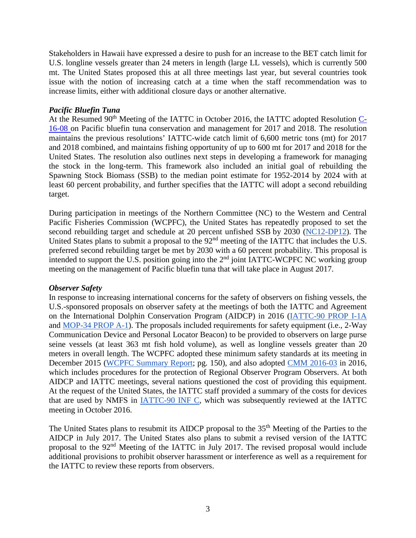Stakeholders in Hawaii have expressed a desire to push for an increase to the BET catch limit for U.S. longline vessels greater than 24 meters in length (large LL vessels), which is currently 500 mt. The United States proposed this at all three meetings last year, but several countries took issue with the notion of increasing catch at a time when the staff recommendation was to increase limits, either with additional closure days or another alternative.

## *Pacific Bluefin Tuna*

At the Resumed  $90<sup>th</sup>$  Meeting of the IATTC in October 2016, the IATTC adopted Resolution [C-](https://www.iattc.org/PDFFiles2/Resolutions/C-16-08-Conservation-and-management-of-Pacific-bluefin-tuna.pdf)[16-08 o](https://www.iattc.org/PDFFiles2/Resolutions/C-16-08-Conservation-and-management-of-Pacific-bluefin-tuna.pdf)n Pacific bluefin tuna conservation and management for 2017 and 2018. The resolution maintains the previous resolutions' IATTC-wide catch limit of 6,600 metric tons (mt) for 2017 and 2018 combined, and maintains fishing opportunity of up to 600 mt for 2017 and 2018 for the United States. The resolution also outlines next steps in developing a framework for managing the stock in the long-term. This framework also included an initial goal of rebuilding the Spawning Stock Biomass (SSB) to the median point estimate for 1952-2014 by 2024 with at least 60 percent probability, and further specifies that the IATTC will adopt a second rebuilding target.

During participation in meetings of the Northern Committee (NC) to the Western and Central Pacific Fisheries Commission (WCPFC), the United States has repeatedly proposed to set the second rebuilding target and schedule at 20 percent unfished SSB by 2030 [\(NC12-DP12\)](https://www.wcpfc.int/system/files/NC12-DP-12%20%5BUSA%20-%20Rebuilding%20plan%20for%20PBF%5D.pdf). The United States plans to submit a proposal to the 92<sup>nd</sup> meeting of the IATTC that includes the U.S. preferred second rebuilding target be met by 2030 with a 60 percent probability. This proposal is intended to support the U.S. position going into the  $2<sup>nd</sup>$  joint IATTC-WCPFC NC working group meeting on the management of Pacific bluefin tuna that will take place in August 2017.

## *Observer Safety*

In response to increasing international concerns for the safety of observers on fishing vessels, the U.S.-sponsored proposals on observer safety at the meetings of both the IATTC and Agreement on the International Dolphin Conservation Program (AIDCP) in 2016 [\(IATTC-90 PROP I-1A](https://www.iattc.org/Meetings/Meetings2016/Oct/Pdfs/Proposals/IATTC-90-PROP-I-1A-USA-Observer-Safety-at-Sea.pdf) and [MOP-34 PROP A-1\)](https://www.iattc.org/Meetings/Meetings2016/Oct/Pdfs/Proposals/MOP-34-PROP-A-1-USA-Observer-safety-at-sea.pdf). The proposals included requirements for safety equipment (i.e., 2-Way Communication Device and Personal Locator Beacon) to be provided to observers on large purse seine vessels (at least 363 mt fish hold volume), as well as longline vessels greater than 20 meters in overall length. The WCPFC adopted these minimum safety standards at its meeting in December 2015 [\(WCPFC Summary Report;](https://www.wcpfc.int/system/files/WCPFC12%20Summary%20Report_final1_revised.pdf) pg. 150), and also adopted [CMM 2016-03](https://www.wcpfc.int/system/files/Att%20F_%20CMM%202016-03%20CMM%20on%20protection%20of%20ROP%20observers.pdf) in 2016, which includes procedures for the protection of Regional Observer Program Observers. At both AIDCP and IATTC meetings, several nations questioned the cost of providing this equipment. At the request of the United States, the IATTC staff provided a summary of the costs for devices that are used by NMFS in [IATTC-90 INF C,](https://www.iattc.org/Meetings/Meetings2016/Oct/Pdfs/IATTC-90-INF-C-Observer-safety-at-sea.pdf) which was subsequently reviewed at the IATTC meeting in October 2016.

The United States plans to resubmit its AIDCP proposal to the 35<sup>th</sup> Meeting of the Parties to the AIDCP in July 2017. The United States also plans to submit a revised version of the IATTC proposal to the 92nd Meeting of the IATTC in July 2017. The revised proposal would include additional provisions to prohibit observer harassment or interference as well as a requirement for the IATTC to review these reports from observers.